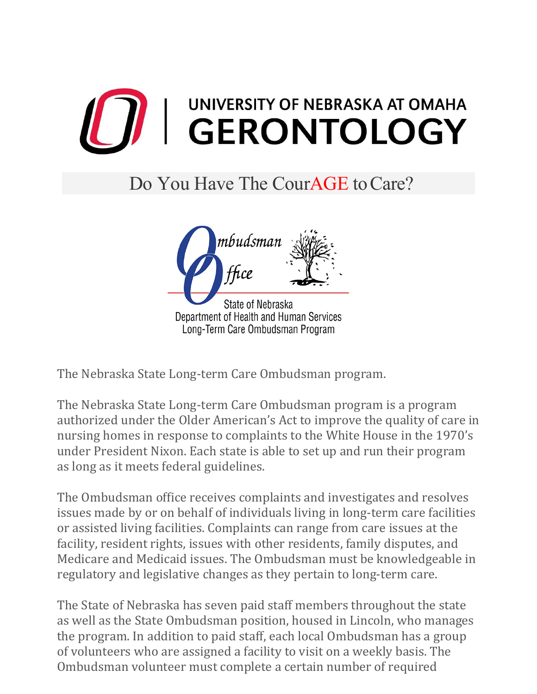

## Do You Have The CourAGE to Care?



The Nebraska State Long-term Care Ombudsman program.

The Nebraska State Long-term Care Ombudsman program is a program authorized under the Older American's Act to improve the quality of care in nursing homes in response to complaints to the White House in the 1970's under President Nixon. Each state is able to set up and run their program as long as it meets federal guidelines.

The Ombudsman office receives complaints and investigates and resolves issues made by or on behalf of individuals living in long-term care facilities or assisted living facilities. Complaints can range from care issues at the facility, resident rights, issues with other residents, family disputes, and Medicare and Medicaid issues. The Ombudsman must be knowledgeable in regulatory and legislative changes as they pertain to long-term care.

The State of Nebraska has seven paid staff members throughout the state as well as the State Ombudsman position, housed in Lincoln, who manages the program. In addition to paid staff, each local Ombudsman has a group of volunteers who are assigned a facility to visit on a weekly basis. The Ombudsman volunteer must complete a certain number of required